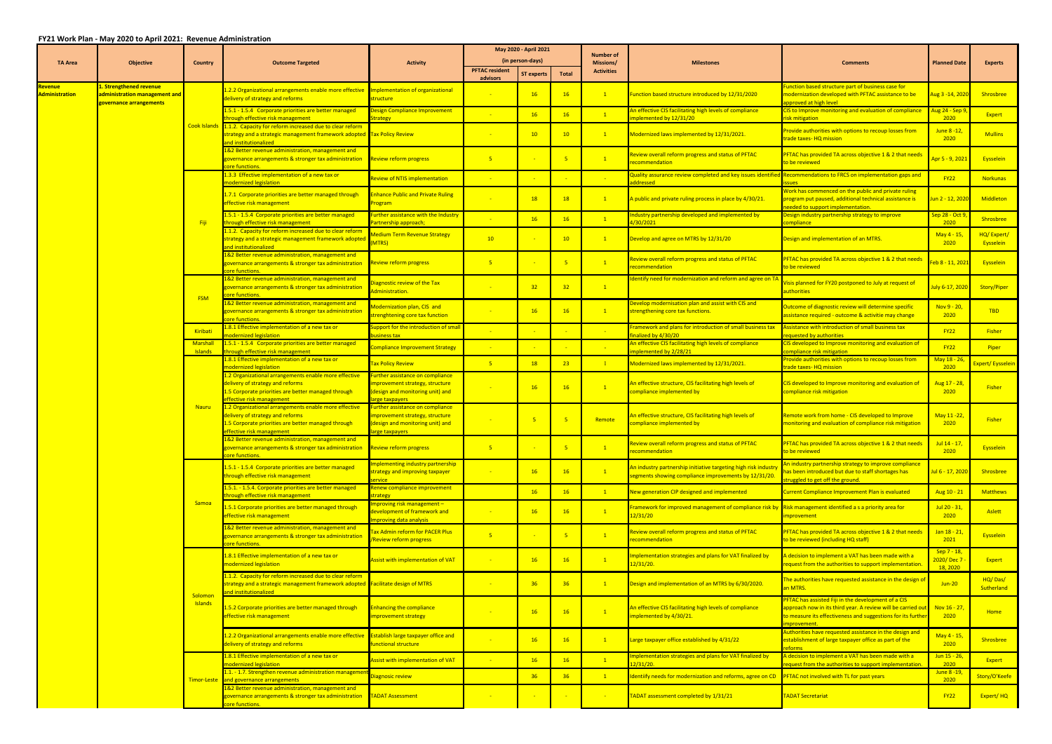## **FY21 Work Plan ‐ May 2020 to April 2021: Revenue Administration**

|                                          |                                                                                            |                            |                                                                                                                                                                               | May 2020 - April 2021                                                                                                          |                                   | <b>Number of</b>  |                 |                   |                                                                                                                       |                                                                                                                                                                                                     |                                       |                         |
|------------------------------------------|--------------------------------------------------------------------------------------------|----------------------------|-------------------------------------------------------------------------------------------------------------------------------------------------------------------------------|--------------------------------------------------------------------------------------------------------------------------------|-----------------------------------|-------------------|-----------------|-------------------|-----------------------------------------------------------------------------------------------------------------------|-----------------------------------------------------------------------------------------------------------------------------------------------------------------------------------------------------|---------------------------------------|-------------------------|
| <b>TA Area</b>                           | <b>Objective</b>                                                                           | Country                    | <b>Outcome Targeted</b>                                                                                                                                                       | <b>Activity</b>                                                                                                                |                                   | (in person-days)  |                 | <b>Missions/</b>  | <b>Milestones</b>                                                                                                     | <b>Comments</b>                                                                                                                                                                                     | <b>Planned Date</b>                   | Experts                 |
|                                          |                                                                                            |                            |                                                                                                                                                                               |                                                                                                                                | <b>PFTAC resident</b><br>advisors | <b>ST experts</b> | <b>Total</b>    | <b>Activities</b> |                                                                                                                       |                                                                                                                                                                                                     |                                       |                         |
| <u>levenue </u><br><b>Administration</b> | <u>l. Strengthened revenue</u><br>administration management and<br>governance arrangements |                            | L.2.2 Organizational arrangements enable more effective<br>delivery of strategy and reforms                                                                                   | Implementation of organizational<br>structure                                                                                  |                                   | 16                | 16              | $\mathbf{1}$      | Function based structure introduced by 12/31/2020                                                                     | Function based structure part of business case for<br>modernization developed with PFTAC assistance to be<br>approved at high level                                                                 | Aug 3 -14, 202                        | Shrosbree               |
|                                          |                                                                                            |                            | 1.5.1 - 1.5.4 Corporate priorities are better managed<br>through effective risk management                                                                                    | Design Compliance Improvement<br>trategy                                                                                       |                                   | 16                | 16              | $\mathbf{1}$      | An effective CIS facilitating high levels of compliance<br>implemented by 12/31/20                                    | CIS to Improve monitoring and evaluation of compliance<br>risk mitigation                                                                                                                           | <mark>lug 24 - Sep 9</mark><br>2020   | Expert                  |
|                                          |                                                                                            | <b>Cook Islands</b>        | 1.1.2. Capacity for reform increased due to clear reform<br>strategy and a strategic management framework adopted Tax Policy Review<br>and institutionalized                  |                                                                                                                                | $\mathbb{R}^2$                    | 10                | 10              | $\mathbf{1}$      | Modernized laws implemented by 12/31/2021.                                                                            | Provide authorities with options to recoup losses from<br>trade taxes-HQ mission                                                                                                                    | June 8 -12,<br>2020                   | <b>Mullins</b>          |
|                                          |                                                                                            |                            | L&2 Better revenue administration, management and<br>governance arrangements & stronger tax administration<br>ore functions.                                                  | Review reform progress                                                                                                         | $-5$                              |                   | $-5$            | $\mathbf{1}$      | Review overall reform progress and status of PFTAC<br>ecommendation                                                   | PFTAC has provided TA across objective 1 & 2 that needs<br>to be reviewed                                                                                                                           | <mark>Apr 5 - 9, 2021</mark>          | Eysselein               |
|                                          |                                                                                            |                            | 1.3.3 Effective implementation of a new tax or<br>nodernized legislation                                                                                                      | Review of NTIS implementation                                                                                                  |                                   |                   |                 |                   | luality assurance review completed and key issues identific<br>ddressed                                               | <b>Recommendations to FRCS on implementation gaps and</b><br>ssues                                                                                                                                  | <b>FY22</b>                           | <b>Norkunas</b>         |
|                                          |                                                                                            |                            | 1.7.1 Corporate priorities are better managed through<br>effective risk management                                                                                            | <b>Inhance Public and Private Ruling</b><br><b>rogram</b>                                                                      |                                   | 18                | 18              | $\mathbf{1}$      | A public and private ruling process in place by 4/30/21.                                                              | Work has commenced on the public and private ruling<br>program put paused, additional technical assistance is<br>needed to support implementation                                                   | lun 2 - 12, 202                       | <b>Middleton</b>        |
|                                          |                                                                                            | -Fiji                      | 1.5.1 - 1.5.4 Corporate priorities are better managed<br>through effective risk management                                                                                    | urther assistance with the Industry<br>artnership approach:                                                                    |                                   | 16                | 16              | $\mathbf{1}$      | ndustry partnership developed and implemented by<br>1/30/2021                                                         | Design industry partnership strategy to improve<br>compliance                                                                                                                                       | <mark>Sep 28 - Oct 9</mark><br>2020   | Shrosbree               |
|                                          |                                                                                            |                            | 1.1.2. Capacity for reform increased due to clear reform<br>strategy and a strategic management framework adopted<br>and institutionalized                                    | <b>Aedium Term Revenue Strategy</b><br>MTRS)                                                                                   | 10 <sup>°</sup>                   |                   | 10              | $\mathbf{1}$      | Develop and agree on MTRS by 12/31/20                                                                                 | Design and implementation of an MTRS.                                                                                                                                                               | May 4 - 15,<br>2020                   | HQ/Expert/<br>Eysselein |
|                                          |                                                                                            |                            | 1&2 Better revenue administration, management and<br>governance arrangements & stronger tax administration<br>ore functions                                                   | <b>Review reform progress</b>                                                                                                  | $-5$                              |                   | $-5$            | $\mathbf{1}$      | Review overall reform progress and status of PFTAC<br>ecommendation                                                   | PFTAC has provided TA across objective 1 & 2 that need<br>to be reviewed                                                                                                                            | eb 8 - 11, 202                        | Eysselein               |
|                                          |                                                                                            | <b>FSM</b>                 | 1&2 Better revenue administration, management and<br>governance arrangements & stronger tax administration<br>core functions                                                  | iagnostic review of the Tax<br>dministration.                                                                                  |                                   | 32 <sup>2</sup>   | 32 <sub>2</sub> | $\mathbf{1}$      | dentify need for modernization and reform and agree on 7                                                              | isis planned for FY20 postponed to July at request of<br>authorities                                                                                                                                | uly 6-17, 2020                        | Story/Piper             |
|                                          |                                                                                            |                            | 1&2 Better revenue administration, management and<br>governance arrangements & stronger tax administration<br>core functions                                                  | <b>Modernization plan, CIS and</b><br>trenghtening core tax function                                                           |                                   | 16                | 16              | $\mathbf{1}$      | Develop modernisation plan and assist with CIS and<br>strengthening core tax functions.                               | Outcome of diagnostic review will determine specific<br>assistance required - outcome & activitie may change                                                                                        | Nov $9 - 20$ ,<br>2020                | <b>TBD</b>              |
|                                          |                                                                                            | Kiribati                   | .8.1 Effective implementation of a new tax or<br>nodernized legislation                                                                                                       | upport for the introduction of small<br>usiness tax                                                                            |                                   |                   |                 |                   | Framework and plans for introduction of small business tax<br>nalized by 4/30/20                                      | Assistance with introduction of small business tax<br>requested by authorities                                                                                                                      | <b>FY22</b>                           | <b>Fisher</b>           |
|                                          |                                                                                            | Marshall<br><b>Islands</b> | 1.5.1 - 1.5.4 Corporate priorities are better managed<br>hrough effective risk management                                                                                     | <b>Ompliance Improvement Strategy</b>                                                                                          |                                   |                   |                 |                   | An effective CIS facilitating high levels of compliance<br>implemented by 2/28/21                                     | CIS developed to Improve monitoring and evaluation of<br>compliance risk mitigation                                                                                                                 | <b>FY22</b>                           | Piper                   |
|                                          |                                                                                            |                            | L.8.1 Effective implementation of a new tax or<br>modernized legislation                                                                                                      | <b>Tax Policy Review</b>                                                                                                       | $-5$                              | 18                | 23              | $\mathbf{1}$      | Modernized laws implemented by 12/31/2021.                                                                            | Provide authorities with options to recoup losses from<br>trade taxes-HQ mission                                                                                                                    | May 18 - 26,<br>2020                  | Expert/ Eysselein       |
|                                          |                                                                                            |                            | 1.2 Organizational arrangements enable more effective<br>delivery of strategy and reforms<br>L.5 Corporate priorities are better managed through<br>effective risk management | <b>Further assistance on compliance</b><br>mprovement strategy, structure<br>design and monitoring unit) and<br>arge taxpayers |                                   | 16                | <b>16</b>       | $\overline{1}$    | An effective structure, CIS facilitating high levels of<br>compliance implemented by                                  | CIS developed to Improve monitoring and evaluation of<br>compliance risk mitigation                                                                                                                 | Aug 17 - 28,<br>2020                  | <b>Fisher</b>           |
|                                          |                                                                                            | <b>Nauru</b>               | 1.2 Organizational arrangements enable more effective<br>delivery of strategy and reforms<br>1.5 Corporate priorities are better managed through<br>effective risk management | urther assistance on compliance<br>mprovement strategy, structure<br>design and monitoring unit) and<br>arge taxpayers         |                                   |                   | $-5$            | Remote            | An effective structure, CIS facilitating high levels of<br>compliance implemented by                                  | Remote work from home - CIS developed to Improve<br>monitoring and evaluation of compliance risk mitigation                                                                                         | May 11 -22,<br>2020                   | <b>Fisher</b>           |
|                                          |                                                                                            |                            | <u>&amp;2 Better revenue administration, management and </u><br>governance arrangements & stronger tax administration<br><b>pre functions.</b>                                | <b>Review reform progress</b>                                                                                                  | -5                                |                   |                 |                   | Review overall reform progress and status of PFTAC<br>ecommendation                                                   | PFTAC has provided TA across objective 1 & 2 that needs<br>to be reviewed                                                                                                                           | Jul 14 - 17,<br>2020                  | <b>Eysselein</b>        |
|                                          |                                                                                            |                            | 1.5.1 - 1.5.4 Corporate priorities are better managed<br>through effective risk management                                                                                    | nplementing industry partnership<br>trategy and improving taxpayer<br>ervice                                                   |                                   | 16                | 16              | $\mathbf{1}$      | An industry partnership initiative targeting high risk indust<br>egments showing compliance improvements by 12/31/20. | An industry partnership strategy to improve compliance<br>has been introduced but due to staff shortages has<br>truggled to get off the ground.                                                     | <mark>Jul 6 - 17, 2020</mark>         | Shrosbree               |
|                                          |                                                                                            |                            | .5.1. - 1.5.4. Corporate priorities are better managed<br>prough effective risk management                                                                                    | Renew compliance improvement<br>trategy                                                                                        |                                   | 16                | 16              | $\overline{1}$    | New generation CIP designed and implemented                                                                           | Current Compliance Improvement Plan is evaluated                                                                                                                                                    | Aug 10 - 21                           | <b>Matthews</b>         |
|                                          |                                                                                            | Samoa                      | .5.1 Corporate priorities are better managed through<br>effective risk management                                                                                             | nproving risk management -<br>levelopment of framework and<br>nproving data analysis                                           |                                   | 16                | 16              | $\mathbf{1}$      | ramework for improved management of compliance risk by<br>12/31/20                                                    | Risk management identified a s a priority area for<br>improvement                                                                                                                                   | Jul 20 - 31,<br>2020                  | Aslett                  |
|                                          |                                                                                            |                            | 1&2 Better revenue administration, management and<br>overnance arrangements & stronger tax administration<br>ore functions.                                                   | ax Admin reform for PACER Plus<br>Review reform progress                                                                       | $-5$                              |                   | $-5$            | $\mathbf{1}$      | eview overall reform progress and status of PFTAC<br>ecommendation                                                    | PFTAC has provided TA across objective 1 & 2 that needs<br>to be reviewed (including HQ staff)                                                                                                      | Jan 18 - 21,<br>2021                  | Eysselein               |
|                                          |                                                                                            |                            | .8.1 Effective implementation of a new tax or<br>nodernized legislation                                                                                                       | Assist with implementation of VAT                                                                                              |                                   | 16                | 16              | $\overline{1}$    | nplementation strategies and plans for VAT finalized by<br>2/31/20.                                                   | A decision to implement a VAT has been made with a<br>request from the authorities to support implementation                                                                                        | Sep 7 - 18,<br>2020/Dec 7<br>18, 2020 | Expert                  |
|                                          |                                                                                            | Solomon<br>Islands         | 1.1.2. Capacity for reform increased due to clear reform<br>strategy and a strategic management framework adopted Facilitate design of MTRS<br>and institutionalized          |                                                                                                                                |                                   | 36                | 36              | $\mathbf{1}$      | Design and implementation of an MTRS by 6/30/2020.                                                                    | The authorities have requested assistance in the design of<br>an MTRS.                                                                                                                              | $Jun-20$                              | HQ/Das/<br>Sutherland   |
|                                          |                                                                                            |                            | 1.5.2 Corporate priorities are better managed through<br>effective risk management                                                                                            | inhancing the compliance<br>nprovement strategy                                                                                |                                   | <b>16</b>         | <b>16</b>       | $\overline{1}$    | An effective CIS facilitating high levels of compliance<br>mplemented by 4/30/21.                                     | PFTAC has assisted Fiji in the development of a CIS<br>approach now in its third year. A review will be carried out<br>to measure its effectiveness and suggestions for its further<br>improvement. | Nov $16 - 27$ ,<br>2020               | Home                    |
|                                          |                                                                                            |                            | L.2.2 Organizational arrangements enable more effective<br>delivery of strategy and reforms                                                                                   | <b>Establish large taxpayer office and</b><br>unctional structure                                                              |                                   | 16                | 16              | $\mathbf{1}$      | Large taxpayer office established by 4/31/22                                                                          | Authorities have requested assistance in the design and<br>establishment of large taxpayer office as part of the<br>reforms                                                                         | May 4 - 15,<br>2020                   | Shrosbree               |
|                                          |                                                                                            |                            | .8.1 Effective implementation of a new tax or<br>nodernized legislation                                                                                                       | Assist with implementation of VAT                                                                                              |                                   | 16                | 16              | $\mathbf{1}$      | nplementation strategies and plans for VAT finalized by<br>2/31/20.                                                   | A decision to implement a VAT has been made with a<br>request from the authorities to support implementation                                                                                        | Jun 15 - 26,<br>2020                  | Expert                  |
|                                          |                                                                                            |                            | L.1. - 1.7. Strengthen revenue administration managemer<br>Timor-Leste and governance arrangements                                                                            | <b>Piagnosic review</b>                                                                                                        |                                   | 36                | 36              | $\boxed{1}$       | dentiify needs for modernization and reforms, agree on CD                                                             | <b>PFTAC not involved with TL for past years</b>                                                                                                                                                    | June 8 - 19,<br>2020                  | Story/O'Keefe           |
|                                          |                                                                                            |                            | L&2 Better revenue administration, management and<br>governance arrangements & stronger tax administration<br>ore functions.                                                  | <b>ADAT Assessment</b>                                                                                                         |                                   |                   |                 |                   | FADAT assessment completed by 1/31/21                                                                                 | <b>TADAT Secretariat</b>                                                                                                                                                                            | <b>FY22</b>                           | Expert/HQ               |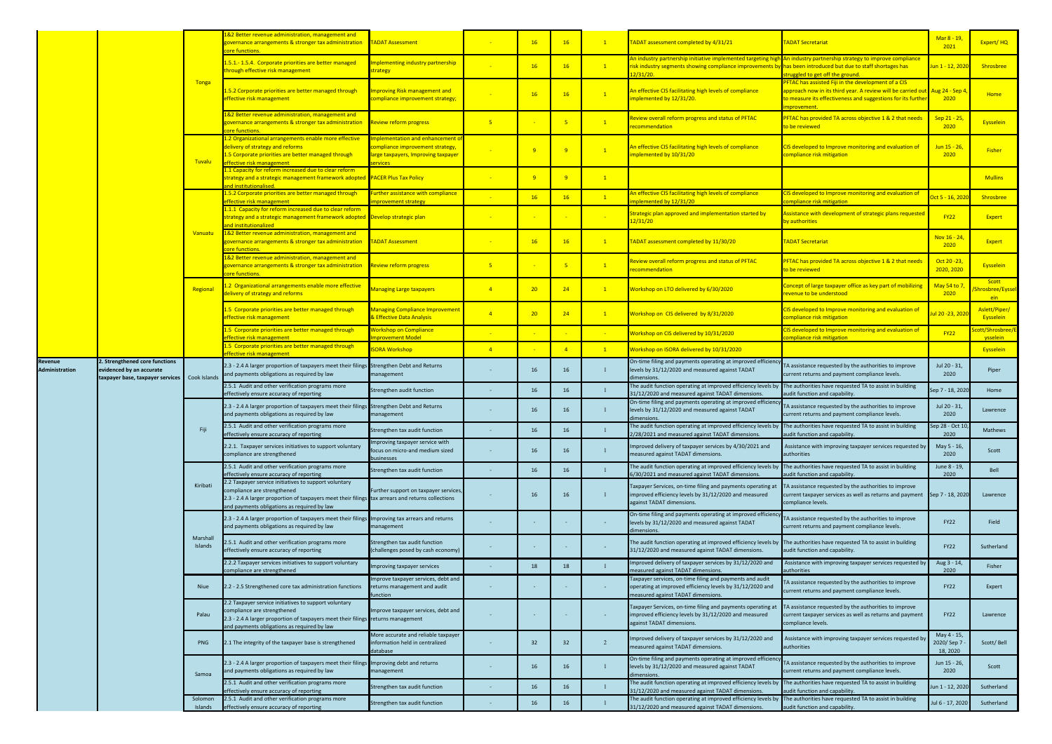|                           |                                                                                                |                     | 82 Better revenue administration, management and<br>governance arrangements & stronger tax administration<br>core functions.                                                                                                             | <b>FADAT Assessment</b>                                                                                            |                | 16 <sup>2</sup> | 16             | $\mathbf{1}$    | TADAT assessment completed by 4/31/21                                                                                                                                                   | <b>FADAT Secretariat</b>                                                                                                                                                                                         | Mar 8 - 19,<br>2021                   | Expert/HQ                          |
|---------------------------|------------------------------------------------------------------------------------------------|---------------------|------------------------------------------------------------------------------------------------------------------------------------------------------------------------------------------------------------------------------------------|--------------------------------------------------------------------------------------------------------------------|----------------|-----------------|----------------|-----------------|-----------------------------------------------------------------------------------------------------------------------------------------------------------------------------------------|------------------------------------------------------------------------------------------------------------------------------------------------------------------------------------------------------------------|---------------------------------------|------------------------------------|
|                           |                                                                                                |                     | 1.5.1.-1.5.4. Corporate priorities are better managed<br>hrough effective risk management                                                                                                                                                | mplementing industry partnership<br>strategy                                                                       |                | 16              | 16             | $\boxed{1}$     | An industry partnership initiative implemented targeting h<br>risk industry segments showing compliance improvements by has been introduced but due to staff shortages has<br>12/31/20. | An industry partnership strategy to improve compliance<br>truggled to get off the ground.                                                                                                                        | l <mark>un 1 - 12, 202</mark>         | Shrosbree                          |
|                           |                                                                                                | Tonga               | 1.5.2 Corporate priorities are better managed through<br>effective risk management                                                                                                                                                       | mproving Risk management and<br>compliance improvement strategy;                                                   |                |                 | 16             | $\mathbf{1}$    | An effective CIS facilitating high levels of compliance<br>implemented by 12/31/20.                                                                                                     | PFTAC has assisted Fiji in the development of a CIS<br>approach now in its third year. A review will be carried out Aug 24 - Sep 4<br>to measure its effectiveness and suggestions for its furthe<br>mprovement. | 2020                                  | <b>Home</b>                        |
|                           |                                                                                                |                     | 1&2 Better revenue administration, management and<br>overnance arrangements & stronger tax administration<br>ore functions.                                                                                                              | Review reform progress                                                                                             | 5 <sub>1</sub> |                 | 5 <sub>1</sub> | $\sqrt{1}$      | Review overall reform progress and status of PFTAC<br>recommendation                                                                                                                    | PFTAC has provided TA across objective 1 & 2 that needs<br>to be reviewed                                                                                                                                        | Sep 21 - 25,<br>2020                  | Eysselein                          |
|                           |                                                                                                | <b>Tuvalu</b>       | 1.2 Organizational arrangements enable more effective<br>delivery of strategy and reforms<br>1.5 Corporate priorities are better managed through<br>effective risk management                                                            | mplementation and enhancement<br>compliance improvement strategy,<br>arge taxpayers, Improving taxpayer<br>ervices |                |                 | $\overline{9}$ | $\mathbf{1}$    | An effective CIS facilitating high levels of compliance<br>implemented by 10/31/20                                                                                                      | CIS developed to Improve monitoring and evaluation of<br>compliance risk mitigation                                                                                                                              | <mark>Jun 15 - 26,</mark><br>2020     | <b>Fisher</b>                      |
|                           |                                                                                                |                     | 1.1 Capacity for reform increased due to clear reform<br>strategy and a strategic management framework adopted<br>nd institutionalised                                                                                                   | <b>PACER Plus Tax Policy</b>                                                                                       | $\sim$         |                 | 9              | $\mathbf{1}$    |                                                                                                                                                                                         |                                                                                                                                                                                                                  |                                       | <b>Mullins</b>                     |
|                           |                                                                                                |                     | 1.5.2 Corporate priorities are better managed through<br>effective risk management                                                                                                                                                       | urther assistance with compliance<br>mprovement strategy                                                           |                | 16              | 16             | $\mathbf{1}$    | An effective CIS facilitating high levels of compliance<br>mplemented by 12/31/20                                                                                                       | CIS developed to Improve monitoring and evaluation of<br>compliance risk mitigation                                                                                                                              | <mark>0ct 5 - 16, 202</mark>          | Shrosbree                          |
|                           |                                                                                                |                     | 1.1.1 Capacity for reform increased due to clear reform<br>strategy and a strategic management framework adopted Develop strategic plan<br>and institutionalized                                                                         |                                                                                                                    | $\sim$ $ \sim$ |                 |                |                 | Strategic plan approved and implementation started by<br>12/31/20                                                                                                                       | Assistance with development of strategic plans requested<br>by authorities                                                                                                                                       | <b>FY22</b>                           | Expert                             |
|                           |                                                                                                | Vanuatu             | 1&2 Better revenue administration, management and<br>governance arrangements & stronger tax administration<br>ore functions.                                                                                                             | <b>ADAT Assessment</b>                                                                                             |                | 16              | 16             | $\mathbf{1}$    | TADAT assessment completed by 11/30/20                                                                                                                                                  | <b>FADAT Secretariat</b>                                                                                                                                                                                         | Nov 16 - 24,<br>2020                  | Expert                             |
|                           |                                                                                                |                     | 1&2 Better revenue administration, management and<br>governance arrangements & stronger tax administration<br>ore functions.                                                                                                             | Review reform progress                                                                                             | $-5$           |                 | 5 <sub>5</sub> | $\mathbf{1}$    | Review overall reform progress and status of PFTAC<br>ecommendation                                                                                                                     | PFTAC has provided TA across objective 1 & 2 that needs<br>to be reviewed                                                                                                                                        | Oct 20 - 23,<br>2020, 2020            | Eysselein                          |
|                           |                                                                                                | Regional            | 2 Organizational arrangements enable more effective<br>delivery of strategy and reforms                                                                                                                                                  | <b>Managing Large taxpayers</b>                                                                                    | $\overline{4}$ | 20              | 24             | $\vert 1 \vert$ | Workshop on LTO delivered by 6/30/2020                                                                                                                                                  | Concept of large taxpayer office as key part of mobilizing<br>revenue to be understood                                                                                                                           | May 54 to 7<br>2020                   | Scott<br>Shrosbree/Eyssel<br>ein a |
|                           |                                                                                                |                     | 5 Corporate priorities are better managed through<br>ffective risk management                                                                                                                                                            | <b>Managing Compliance Improvemen</b><br>& Effective Data Analysis                                                 | $\overline{4}$ | 20 <sub>2</sub> | 24             | $\mathbf{1}$    | Workshop on CIS delivered by 8/31/2020                                                                                                                                                  | CIS developed to Improve monitoring and evaluation of<br>compliance risk mitigation                                                                                                                              | ul 20 -23, 2020                       | Aslett/Piper/<br>Eysselein         |
|                           |                                                                                                |                     | 1.5 Corporate priorities are better managed through<br>ffective risk management                                                                                                                                                          | <b>Workshop on Compliance</b><br>mprovement Model                                                                  |                |                 |                |                 | Workshop on CIS delivered by 10/31/2020                                                                                                                                                 | CIS developed to Improve monitoring and evaluation of<br>ompliance risk mitigation                                                                                                                               | <b>FY22</b>                           | ott/Shrosbree/E<br>ysselein        |
|                           |                                                                                                |                     | 1.5 Corporate priorities are better managed through<br>ffective risk management                                                                                                                                                          | <mark>SORA Workshop</mark>                                                                                         | $\sqrt{4}$     |                 | $\overline{4}$ | $\mathbf{1}$    | Workshop on ISORA delivered by 10/31/2020                                                                                                                                               |                                                                                                                                                                                                                  |                                       | Eysselein                          |
| Revenue<br>Administration | 2. Strengthened core functions<br>evidenced by an accurate<br>taxpayer base, taxpayer services | Cook Islands        | 2.3 - 2.4 A larger proportion of taxpayers meet their filings Strengthen Debt and Returns<br>and payments obligations as required by law                                                                                                 | management                                                                                                         |                | 16              | 16             | $\blacksquare$  | On-time filing and payments operating at improved efficien<br>levels by 31/12/2020 and measured against TADAT<br>dimensions.                                                            | TA assistance requested by the authorities to improve<br>current returns and payment compliance levels.                                                                                                          | Jul 20 - 31,<br>2020                  | Piper                              |
|                           |                                                                                                |                     | 2.5.1 Audit and other verification programs more<br>ffectively ensure accuracy of reporting                                                                                                                                              | Strengthen audit function                                                                                          |                | 16              | 16             |                 | The audit function operating at improved efficiency levels by<br>31/12/2020 and measured against TADAT dimensions.                                                                      | The authorities have requested TA to assist in building<br>audit function and capability.                                                                                                                        | Sep 7 - 18, 202                       | Home                               |
|                           |                                                                                                |                     | 2.3 - 2.4 A larger proportion of taxpayers meet their filings<br>and payments obligations as required by law                                                                                                                             | Strengthen Debt and Returns<br>management                                                                          |                | 16              | 16             |                 | On-time filing and payments operating at improved efficier<br>levels by 31/12/2020 and measured against TADAT<br>dimensions.                                                            | TA assistance requested by the authorities to improve<br>current returns and payment compliance levels.                                                                                                          | Jul 20 - 31,<br>2020                  | Lawrence                           |
|                           |                                                                                                | Fiji                | .5.1 Audit and other verification programs more<br>effectively ensure accuracy of reporting                                                                                                                                              | Strengthen tax audit function                                                                                      |                | 16              | 16             |                 | The audit function operating at improved efficiency levels by The authorities have requested TA to assist in building<br>2/28/2021 and measured against TADAT dimensions.               | audit function and capability.                                                                                                                                                                                   | iep 28 - Oct 10,<br>2020              | Mathews                            |
|                           |                                                                                                |                     | 2.2.1. Taxpayer services initiatives to support voluntary<br>compliance are strengthened                                                                                                                                                 | nproving taxpayer service with<br>focus on micro-and medium sized<br>businesses                                    |                | 16              | 16             |                 | Improved delivery of taxpayer services by 4/30/2021 and<br>measured against TADAT dimensions.                                                                                           | Assistance with improving taxpayer services requested by<br>authorities                                                                                                                                          | May 5 - 16,<br>2020                   | Scott                              |
|                           |                                                                                                |                     | 2.5.1 Audit and other verification programs more<br>effectively ensure accuracy of reporting                                                                                                                                             | Strengthen tax audit function                                                                                      |                | 16              | 16             |                 | The audit function operating at improved efficiency levels by<br>6/30/2021 and measured against TADAT dimensions.                                                                       | The authorities have requested TA to assist in building<br>audit function and capability.                                                                                                                        | June 8 - 19,<br>2020                  | Bell                               |
|                           |                                                                                                | Kiribati            | 2.2 Taxpayer service initiatives to support voluntary<br>compliance are strengthened<br>2.3 - 2.4 A larger proportion of taxpayers meet their filings tax arrears and returns collections<br>and payments obligations as required by law | Further support on taxpayer services,                                                                              |                | 16              | 16             |                 | Taxpayer Services, on-time filing and payments operating at<br>improved efficiency levels by 31/12/2020 and measured<br>against TADAT dimensions.                                       | TA assistance requested by the authorities to improve<br>current taxpayer services as well as returns and payment<br>compliance levels.                                                                          | Sep 7 - 18, 2020                      | Lawrence                           |
|                           |                                                                                                |                     | 2.3 - 2.4 A larger proportion of taxpayers meet their filings Improving tax arrears and returns<br>and payments obligations as required by law                                                                                           | management                                                                                                         |                |                 |                | <b>College</b>  | On-time filing and payments operating at improved efficier<br>levels by 31/12/2020 and measured against TADAT<br>imensions.                                                             | TA assistance requested by the authorities to improve<br>current returns and payment compliance levels.                                                                                                          | <b>FY22</b>                           | Field                              |
|                           |                                                                                                | Marshall<br>Islands | .5.1 Audit and other verification programs more<br>effectively ensure accuracy of reporting                                                                                                                                              | Strengthen tax audit function<br>(challenges posed by cash economy)                                                |                |                 |                |                 | The audit function operating at improved efficiency levels by The authorities have requested TA to assist in building<br>31/12/2020 and measured against TADAT dimensions.              | audit function and capability.                                                                                                                                                                                   | <b>FY22</b>                           | Sutherland                         |
|                           |                                                                                                |                     | 2.2.2 Taxpayer services initiatives to support voluntary<br>ompliance are strengthened                                                                                                                                                   | Improving taxpayer services                                                                                        |                | 18              | 18             |                 | Improved delivery of taxpayer services by 31/12/2020 and<br>measured against TADAT dimensions.                                                                                          | Assistance with improving taxpayer services requested by<br>authorities                                                                                                                                          | Aug 3 - 14,<br>2020                   | Fisher                             |
|                           |                                                                                                | Niue                | 2.2 - 2.5 Strengthened core tax administration functions                                                                                                                                                                                 | Improve taxpayer services, debt and<br>returns management and audit<br>unction                                     |                |                 |                |                 | Taxpayer services, on-time filing and payments and audit<br>operating at improved efficiency levels by 31/12/2020 and<br>neasured against TADAT dimensions.                             | TA assistance requested by the authorities to improve<br>current returns and payment compliance levels.                                                                                                          | <b>FY22</b>                           | Expert                             |
|                           |                                                                                                | Palau               | 2.2 Taxpayer service initiatives to support voluntary<br>ompliance are strengthened<br>2.3 - 2.4 A larger proportion of taxpayers meet their filings returns management<br>and payments obligations as required by law                   | Improve taxpayer services, debt and                                                                                |                |                 |                |                 | Taxpayer Services, on-time filing and payments operating at<br>improved efficiency levels by 31/12/2020 and measured<br>against TADAT dimensions.                                       | TA assistance requested by the authorities to improve<br>current taxpayer services as well as returns and payment<br>compliance levels.                                                                          | <b>FY22</b>                           | Lawrence                           |
|                           |                                                                                                | PNG                 | 2.1 The integrity of the taxpayer base is strengthened                                                                                                                                                                                   | More accurate and reliable taxpaye<br>information held in centralized<br>database                                  |                | 32              | 32             | $\overline{2}$  | mproved delivery of taxpayer services by 31/12/2020 and<br>measured against TADAT dimensions.                                                                                           | Assistance with improving taxpayer services requested by<br>authorities                                                                                                                                          | May 4 - 15,<br>2020/Sep 7<br>18, 2020 | Scott/Bell                         |
|                           |                                                                                                | Samoa               | 2.3 - 2.4 A larger proportion of taxpayers meet their filings Improving debt and returns<br>and payments obligations as required by law                                                                                                  | management                                                                                                         |                | 16              | 16             | $\mathbf{1}$    | On-time filing and payments operating at improved efficiend<br>levels by 31/12/2020 and measured against TADAT<br>dimensions.                                                           | TA assistance requested by the authorities to improve<br>current returns and payment compliance levels.                                                                                                          | Jun 15 - 26,<br>2020                  | Scott                              |
|                           |                                                                                                |                     | 2.5.1 Audit and other verification programs more<br>effectively ensure accuracy of reporting                                                                                                                                             | Strengthen tax audit function                                                                                      |                | 16              | 16             |                 | The audit function operating at improved efficiency levels b<br>31/12/2020 and measured against TADAT dimensions.                                                                       | The authorities have requested TA to assist in building<br>audit function and capability.                                                                                                                        | Jun 1 - 12, 2020                      | Sutherland                         |
|                           |                                                                                                | Solomon<br>Islands  | 2.5.1 Audit and other verification programs more<br>effectively ensure accuracy of reporting                                                                                                                                             | Strengthen tax audit function                                                                                      |                | 16              | 16             |                 | The audit function operating at improved efficiency levels by<br>31/12/2020 and measured against TADAT dimensions.                                                                      | The authorities have requested TA to assist in building<br>audit function and capability.                                                                                                                        | Jul 6 - 17, 2020                      | Sutherland                         |